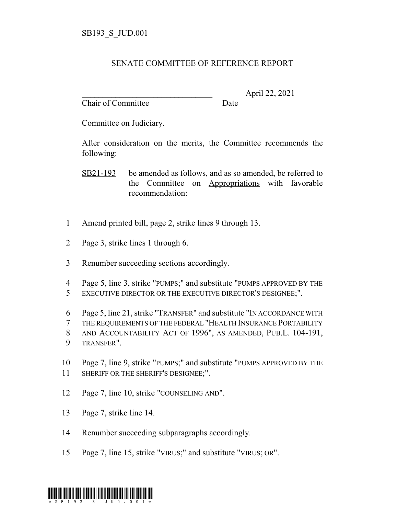## SENATE COMMITTEE OF REFERENCE REPORT

Chair of Committee Date

\_\_\_\_\_\_\_\_\_\_\_\_\_\_\_\_\_\_\_\_\_\_\_\_\_\_\_\_\_\_\_ April 22, 2021

Committee on Judiciary.

After consideration on the merits, the Committee recommends the following:

- SB21-193 be amended as follows, and as so amended, be referred to the Committee on Appropriations with favorable recommendation:
- 1 Amend printed bill, page 2, strike lines 9 through 13.
- 2 Page 3, strike lines 1 through 6.
- 3 Renumber succeeding sections accordingly.
- 4 Page 5, line 3, strike "PUMPS;" and substitute "PUMPS APPROVED BY THE 5 EXECUTIVE DIRECTOR OR THE EXECUTIVE DIRECTOR'S DESIGNEE;".
- 6 Page 5, line 21, strike "TRANSFER" and substitute "IN ACCORDANCE WITH
- 7 THE REQUIREMENTS OF THE FEDERAL "HEALTH INSURANCE PORTABILITY
- 8 AND ACCOUNTABILITY ACT OF 1996", AS AMENDED, PUB.L. 104-191,
- 9 TRANSFER".
- 10 Page 7, line 9, strike "PUMPS;" and substitute "PUMPS APPROVED BY THE 11 SHERIFF OR THE SHERIFF'S DESIGNEE;".
- 12 Page 7, line 10, strike "COUNSELING AND".
- 13 Page 7, strike line 14.
- 14 Renumber succeeding subparagraphs accordingly.
- 15 Page 7, line 15, strike "VIRUS;" and substitute "VIRUS; OR".

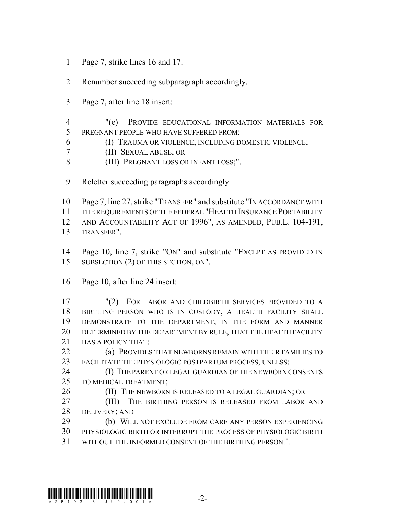- Page 7, strike lines 16 and 17.
- Renumber succeeding subparagraph accordingly.
- Page 7, after line 18 insert:
- "(e) PROVIDE EDUCATIONAL INFORMATION MATERIALS FOR PREGNANT PEOPLE WHO HAVE SUFFERED FROM:
- (I) TRAUMA OR VIOLENCE, INCLUDING DOMESTIC VIOLENCE;
- (II) SEXUAL ABUSE; OR
- (III) PREGNANT LOSS OR INFANT LOSS;".
- Reletter succeeding paragraphs accordingly.
- Page 7, line 27, strike "TRANSFER" and substitute "IN ACCORDANCE WITH
- THE REQUIREMENTS OF THE FEDERAL "HEALTH INSURANCE PORTABILITY
- AND ACCOUNTABILITY ACT OF 1996", AS AMENDED, PUB.L. 104-191,
- TRANSFER".
- Page 10, line 7, strike "ON" and substitute "EXCEPT AS PROVIDED IN 15 SUBSECTION (2) OF THIS SECTION, ON".
- Page 10, after line 24 insert:
- "(2) FOR LABOR AND CHILDBIRTH SERVICES PROVIDED TO A BIRTHING PERSON WHO IS IN CUSTODY, A HEALTH FACILITY SHALL DEMONSTRATE TO THE DEPARTMENT, IN THE FORM AND MANNER DETERMINED BY THE DEPARTMENT BY RULE, THAT THE HEALTH FACILITY **HAS A POLICY THAT:**
- **(a) PROVIDES THAT NEWBORNS REMAIN WITH THEIR FAMILIES TO** FACILITATE THE PHYSIOLOGIC POSTPARTUM PROCESS, UNLESS:
- **(I) THE PARENT OR LEGAL GUARDIAN OF THE NEWBORN CONSENTS** TO MEDICAL TREATMENT;
- 26 (II) THE NEWBORN IS RELEASED TO A LEGAL GUARDIAN; OR
- 27 (III) THE BIRTHING PERSON IS RELEASED FROM LABOR AND DELIVERY; AND
- (b) WILL NOT EXCLUDE FROM CARE ANY PERSON EXPERIENCING PHYSIOLOGIC BIRTH OR INTERRUPT THE PROCESS OF PHYSIOLOGIC BIRTH WITHOUT THE INFORMED CONSENT OF THE BIRTHING PERSON.".